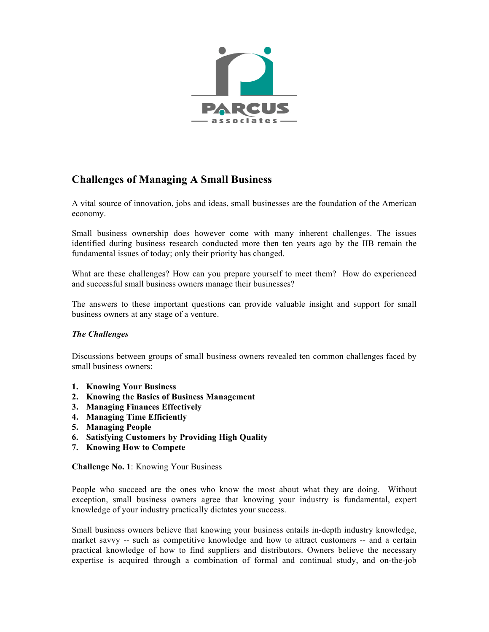

# **Challenges of Managing A Small Business**

A vital source of innovation, jobs and ideas, small businesses are the foundation of the American economy.

Small business ownership does however come with many inherent challenges. The issues identified during business research conducted more then ten years ago by the IIB remain the fundamental issues of today; only their priority has changed.

What are these challenges? How can you prepare yourself to meet them? How do experienced and successful small business owners manage their businesses?

The answers to these important questions can provide valuable insight and support for small business owners at any stage of a venture.

## *The Challenges*

Discussions between groups of small business owners revealed ten common challenges faced by small business owners:

- **1. Knowing Your Business**
- **2. Knowing the Basics of Business Management**
- **3. Managing Finances Effectively**
- **4. Managing Time Efficiently**
- **5. Managing People**
- **6. Satisfying Customers by Providing High Quality**
- **7. Knowing How to Compete**

**Challenge No. 1**: Knowing Your Business

People who succeed are the ones who know the most about what they are doing. Without exception, small business owners agree that knowing your industry is fundamental, expert knowledge of your industry practically dictates your success.

Small business owners believe that knowing your business entails in-depth industry knowledge, market savvy -- such as competitive knowledge and how to attract customers -- and a certain practical knowledge of how to find suppliers and distributors. Owners believe the necessary expertise is acquired through a combination of formal and continual study, and on-the-job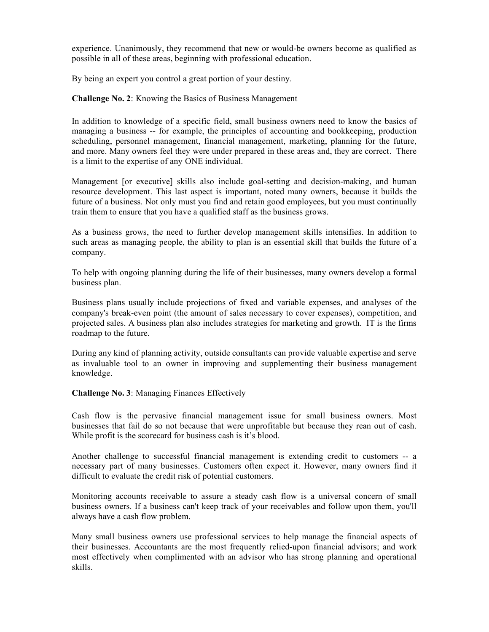experience. Unanimously, they recommend that new or would-be owners become as qualified as possible in all of these areas, beginning with professional education.

By being an expert you control a great portion of your destiny.

**Challenge No. 2**: Knowing the Basics of Business Management

In addition to knowledge of a specific field, small business owners need to know the basics of managing a business -- for example, the principles of accounting and bookkeeping, production scheduling, personnel management, financial management, marketing, planning for the future, and more. Many owners feel they were under prepared in these areas and, they are correct. There is a limit to the expertise of any ONE individual.

Management [or executive] skills also include goal-setting and decision-making, and human resource development. This last aspect is important, noted many owners, because it builds the future of a business. Not only must you find and retain good employees, but you must continually train them to ensure that you have a qualified staff as the business grows.

As a business grows, the need to further develop management skills intensifies. In addition to such areas as managing people, the ability to plan is an essential skill that builds the future of a company.

To help with ongoing planning during the life of their businesses, many owners develop a formal business plan.

Business plans usually include projections of fixed and variable expenses, and analyses of the company's break-even point (the amount of sales necessary to cover expenses), competition, and projected sales. A business plan also includes strategies for marketing and growth. IT is the firms roadmap to the future.

During any kind of planning activity, outside consultants can provide valuable expertise and serve as invaluable tool to an owner in improving and supplementing their business management knowledge.

#### **Challenge No. 3**: Managing Finances Effectively

Cash flow is the pervasive financial management issue for small business owners. Most businesses that fail do so not because that were unprofitable but because they rean out of cash. While profit is the scorecard for business cash is it's blood.

Another challenge to successful financial management is extending credit to customers -- a necessary part of many businesses. Customers often expect it. However, many owners find it difficult to evaluate the credit risk of potential customers.

Monitoring accounts receivable to assure a steady cash flow is a universal concern of small business owners. If a business can't keep track of your receivables and follow upon them, you'll always have a cash flow problem.

Many small business owners use professional services to help manage the financial aspects of their businesses. Accountants are the most frequently relied-upon financial advisors; and work most effectively when complimented with an advisor who has strong planning and operational skills.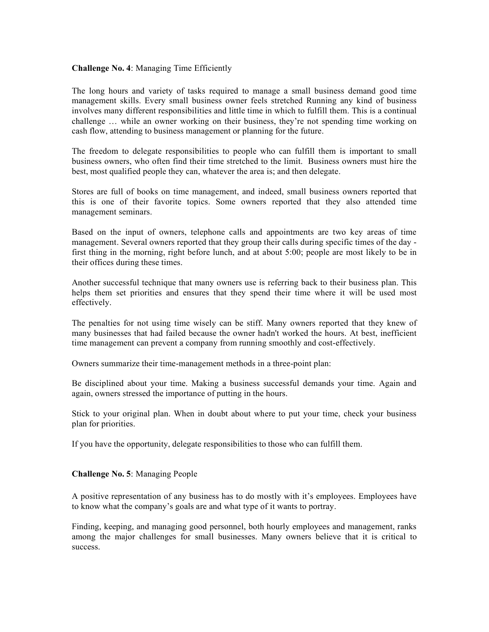## **Challenge No. 4**: Managing Time Efficiently

The long hours and variety of tasks required to manage a small business demand good time management skills. Every small business owner feels stretched Running any kind of business involves many different responsibilities and little time in which to fulfill them. This is a continual challenge … while an owner working on their business, they're not spending time working on cash flow, attending to business management or planning for the future.

The freedom to delegate responsibilities to people who can fulfill them is important to small business owners, who often find their time stretched to the limit. Business owners must hire the best, most qualified people they can, whatever the area is; and then delegate.

Stores are full of books on time management, and indeed, small business owners reported that this is one of their favorite topics. Some owners reported that they also attended time management seminars.

Based on the input of owners, telephone calls and appointments are two key areas of time management. Several owners reported that they group their calls during specific times of the day first thing in the morning, right before lunch, and at about 5:00; people are most likely to be in their offices during these times.

Another successful technique that many owners use is referring back to their business plan. This helps them set priorities and ensures that they spend their time where it will be used most effectively.

The penalties for not using time wisely can be stiff. Many owners reported that they knew of many businesses that had failed because the owner hadn't worked the hours. At best, inefficient time management can prevent a company from running smoothly and cost-effectively.

Owners summarize their time-management methods in a three-point plan:

Be disciplined about your time. Making a business successful demands your time. Again and again, owners stressed the importance of putting in the hours.

Stick to your original plan. When in doubt about where to put your time, check your business plan for priorities.

If you have the opportunity, delegate responsibilities to those who can fulfill them.

#### **Challenge No. 5**: Managing People

A positive representation of any business has to do mostly with it's employees. Employees have to know what the company's goals are and what type of it wants to portray.

Finding, keeping, and managing good personnel, both hourly employees and management, ranks among the major challenges for small businesses. Many owners believe that it is critical to success.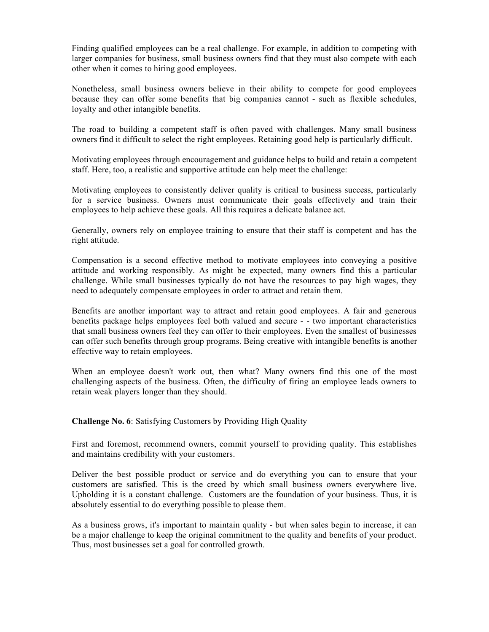Finding qualified employees can be a real challenge. For example, in addition to competing with larger companies for business, small business owners find that they must also compete with each other when it comes to hiring good employees.

Nonetheless, small business owners believe in their ability to compete for good employees because they can offer some benefits that big companies cannot - such as flexible schedules, loyalty and other intangible benefits.

The road to building a competent staff is often paved with challenges. Many small business owners find it difficult to select the right employees. Retaining good help is particularly difficult.

Motivating employees through encouragement and guidance helps to build and retain a competent staff. Here, too, a realistic and supportive attitude can help meet the challenge:

Motivating employees to consistently deliver quality is critical to business success, particularly for a service business. Owners must communicate their goals effectively and train their employees to help achieve these goals. All this requires a delicate balance act.

Generally, owners rely on employee training to ensure that their staff is competent and has the right attitude.

Compensation is a second effective method to motivate employees into conveying a positive attitude and working responsibly. As might be expected, many owners find this a particular challenge. While small businesses typically do not have the resources to pay high wages, they need to adequately compensate employees in order to attract and retain them.

Benefits are another important way to attract and retain good employees. A fair and generous benefits package helps employees feel both valued and secure - - two important characteristics that small business owners feel they can offer to their employees. Even the smallest of businesses can offer such benefits through group programs. Being creative with intangible benefits is another effective way to retain employees.

When an employee doesn't work out, then what? Many owners find this one of the most challenging aspects of the business. Often, the difficulty of firing an employee leads owners to retain weak players longer than they should.

**Challenge No. 6**: Satisfying Customers by Providing High Quality

First and foremost, recommend owners, commit yourself to providing quality. This establishes and maintains credibility with your customers.

Deliver the best possible product or service and do everything you can to ensure that your customers are satisfied. This is the creed by which small business owners everywhere live. Upholding it is a constant challenge. Customers are the foundation of your business. Thus, it is absolutely essential to do everything possible to please them.

As a business grows, it's important to maintain quality - but when sales begin to increase, it can be a major challenge to keep the original commitment to the quality and benefits of your product. Thus, most businesses set a goal for controlled growth.